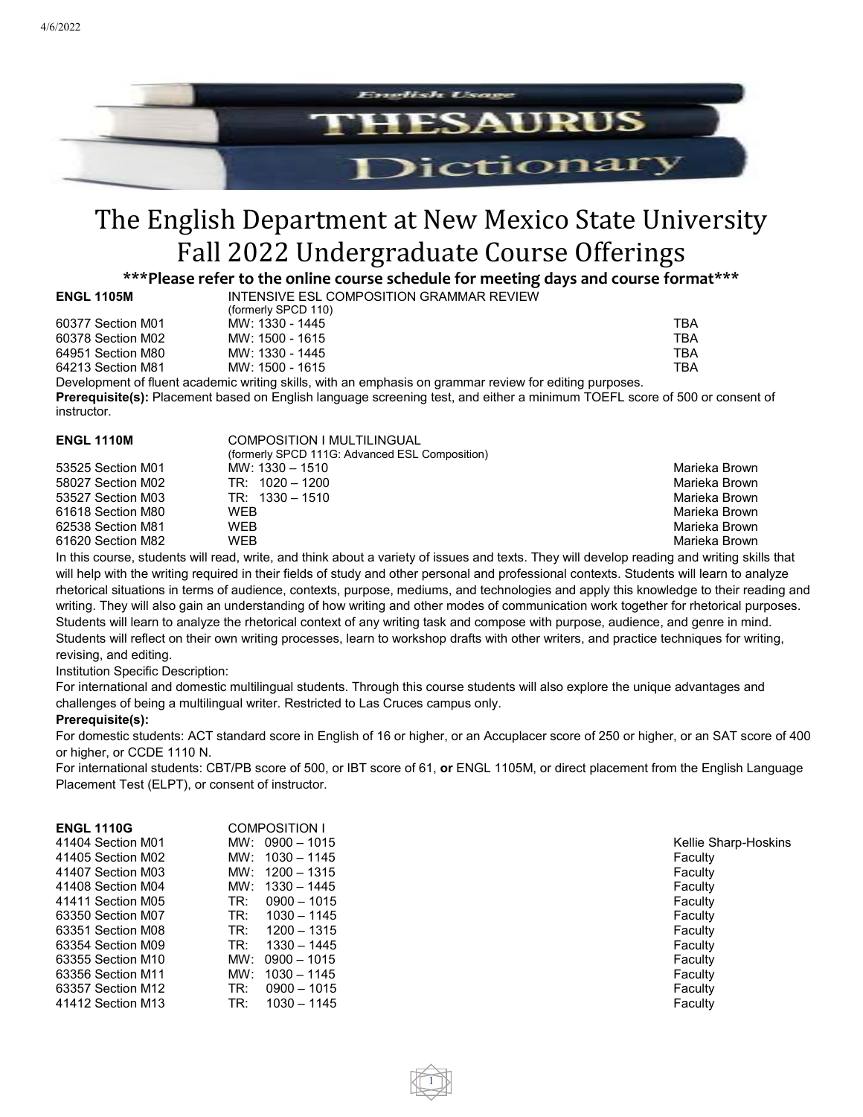

# The English Department at New Mexico State University Fall 2022 Undergraduate Course Offerings

**\*\*\*Please refer to the online course schedule for meeting days and course format\*\*\***

| <b>ENGL 1105M</b> |  |  |
|-------------------|--|--|
|-------------------|--|--|

**INTENSIVE ESL COMPOSITION GRAMMAR REVIEW** (formerly SPCD 110) 60377 Section M01 MW: 1330 - 1445 TBA 60378 Section M02 MW: 1500 - 1615 TBA

64951 Section M80 MW: 1330 - 1445 TBA 64213 Section M81 MW: 1500 - 1615 TBA

Development of fluent academic writing skills, with an emphasis on grammar review for editing purposes. **Prerequisite(s):** Placement based on English language screening test, and either a minimum TOEFL score of 500 or consent of instructor.

| <b>ENGL 1110M</b> | COMPOSITION I MULTILINGUAL                     |               |
|-------------------|------------------------------------------------|---------------|
|                   | (formerly SPCD 111G: Advanced ESL Composition) |               |
| 53525 Section M01 | MW: $1330 - 1510$                              | Marieka Brown |
| 58027 Section M02 | $TR: 1020 - 1200$                              | Marieka Brown |
| 53527 Section M03 | $TR: 1330 - 1510$                              | Marieka Brown |
| 61618 Section M80 | WFB                                            | Marieka Brown |
| 62538 Section M81 | WEB                                            | Marieka Brown |
| 61620 Section M82 | WEB                                            | Marieka Brown |
|                   |                                                |               |

In this course, students will read, write, and think about a variety of issues and texts. They will develop reading and writing skills that will help with the writing required in their fields of study and other personal and professional contexts. Students will learn to analyze rhetorical situations in terms of audience, contexts, purpose, mediums, and technologies and apply this knowledge to their reading and writing. They will also gain an understanding of how writing and other modes of communication work together for rhetorical purposes. Students will learn to analyze the rhetorical context of any writing task and compose with purpose, audience, and genre in mind. Students will reflect on their own writing processes, learn to workshop drafts with other writers, and practice techniques for writing, revising, and editing.

Institution Specific Description:

For international and domestic multilingual students. Through this course students will also explore the unique advantages and challenges of being a multilingual writer. Restricted to Las Cruces campus only.

## **Prerequisite(s):**

For domestic students: ACT standard score in English of 16 or higher, or an Accuplacer score of 250 or higher, or an SAT score of 400 or higher, or CCDE 1110 N.

For international students: CBT/PB score of 500, or IBT score of 61, **or** ENGL 1105M, or direct placement from the English Language Placement Test (ELPT), or consent of instructor.

1

| <b>ENGL 1110G</b> | <b>COMPOSITION I</b> |          |
|-------------------|----------------------|----------|
| 41404 Section M01 | $MW: 0900 - 1015$    | Kellie S |
| 41405 Section M02 | MW: $1030 - 1145$    | Faculty  |
| 41407 Section M03 | $MW: 1200 - 1315$    | Faculty  |
| 41408 Section M04 | $MW: 1330 - 1445$    | Faculty  |
| 41411 Section M05 | TR:<br>$0900 - 1015$ | Faculty  |
| 63350 Section M07 | 1030 - 1145<br>TR:   | Faculty  |
| 63351 Section M08 | TR:<br>$1200 - 1315$ | Faculty  |
| 63354 Section M09 | 1330 - 1445<br>TR:   | Faculty  |
| 63355 Section M10 | $MW: 0900 - 1015$    | Faculty  |
| 63356 Section M11 | MW: $1030 - 1145$    | Faculty  |
| 63357 Section M12 | TR:<br>$0900 - 1015$ | Faculty  |
| 41412 Section M13 | TR:<br>$1030 - 1145$ | Faculty  |
|                   |                      |          |

Kellie Sharp-Hoskins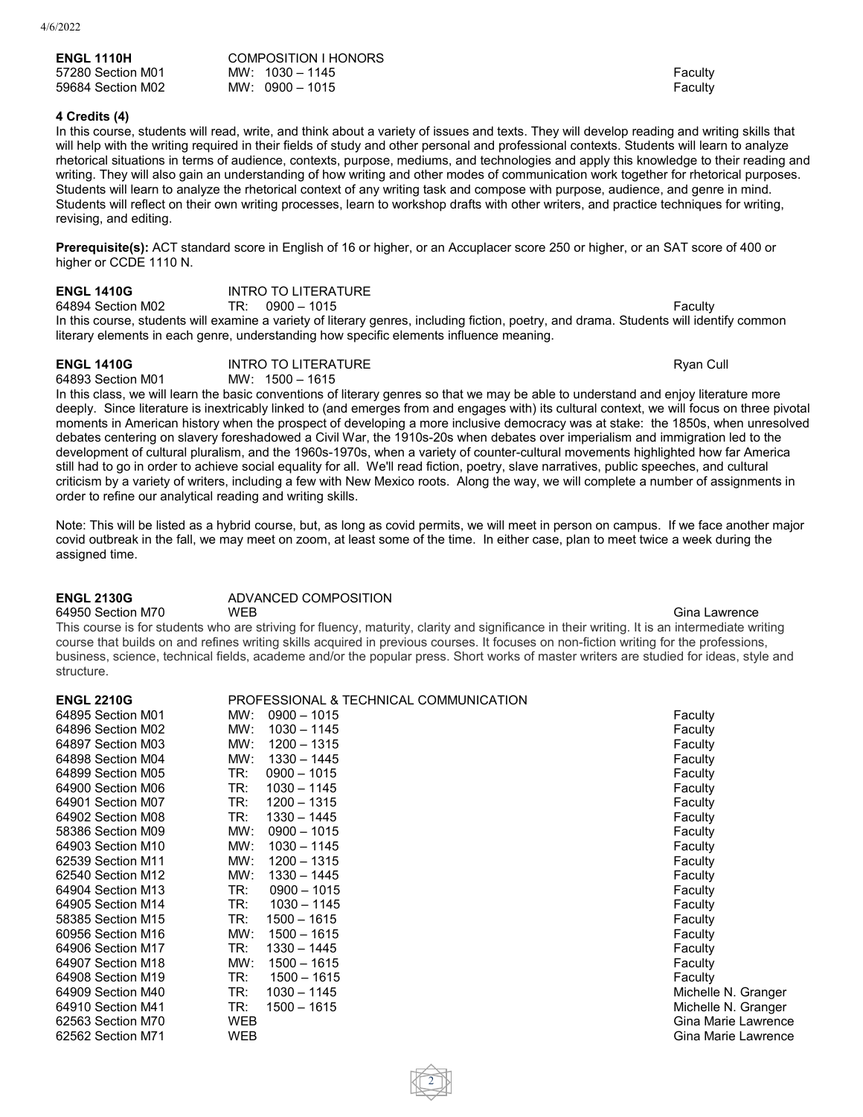| <b>ENGL 1110H</b> | COMPOSITION I HONORS |         |
|-------------------|----------------------|---------|
| 57280 Section M01 | MW: $1030 - 1145$    | Faculty |
| 59684 Section M02 | $MW: 0900 - 1015$    | Faculty |

**ENGL 1410G** INTRO TO LITERATURE

## **4 Credits (4)**

In this course, students will read, write, and think about a variety of issues and texts. They will develop reading and writing skills that will help with the writing required in their fields of study and other personal and professional contexts. Students will learn to analyze rhetorical situations in terms of audience, contexts, purpose, mediums, and technologies and apply this knowledge to their reading and writing. They will also gain an understanding of how writing and other modes of communication work together for rhetorical purposes. Students will learn to analyze the rhetorical context of any writing task and compose with purpose, audience, and genre in mind. Students will reflect on their own writing processes, learn to workshop drafts with other writers, and practice techniques for writing, revising, and editing.

**Prerequisite(s):** ACT standard score in English of 16 or higher, or an Accuplacer score 250 or higher, or an SAT score of 400 or higher or CCDE 1110 N.

| LIVUL 171VU       |                                                                                                                                         |         |
|-------------------|-----------------------------------------------------------------------------------------------------------------------------------------|---------|
| 64894 Section M02 | $TR: 0900 - 1015$                                                                                                                       | Faculty |
|                   | In this course, students will examine a variety of literary genres, including fiction, poetry, and drama. Students will identify common |         |
|                   | literary elements in each genre, understanding how specific elements influence meaning.                                                 |         |

**ENGL 1410G** INTRO TO LITERATURE Ryan Cull MW: 1500 - 1615

In this class, we will learn the basic conventions of literary genres so that we may be able to understand and enjoy literature more deeply. Since literature is inextricably linked to (and emerges from and engages with) its cultural context, we will focus on three pivotal moments in American history when the prospect of developing a more inclusive democracy was at stake: the 1850s, when unresolved debates centering on slavery foreshadowed a Civil War, the 1910s-20s when debates over imperialism and immigration led to the development of cultural pluralism, and the 1960s-1970s, when a variety of counter-cultural movements highlighted how far America still had to go in order to achieve social equality for all. We'll read fiction, poetry, slave narratives, public speeches, and cultural criticism by a variety of writers, including a few with New Mexico roots. Along the way, we will complete a number of assignments in order to refine our analytical reading and writing skills.

Note: This will be listed as a hybrid course, but, as long as covid permits, we will meet in person on campus. If we face another major covid outbreak in the fall, we may meet on zoom, at least some of the time. In either case, plan to meet twice a week during the assigned time.

## **ENGL 2130G** ADVANCED COMPOSITION

64950 Section M70 WEB Gina Lawrence This course is for students who are striving for fluency, maturity, clarity and significance in their writing. It is an intermediate writing course that builds on and refines writing skills acquired in previous courses. It focuses on non-fiction writing for the professions, business, science, technical fields, academe and/or the popular press. Short works of master writers are studied for ideas, style and structure.

| <b>ENGL 2210G</b> | PROFESSIONAL & TECHNICAL COMMUNICATION |                     |
|-------------------|----------------------------------------|---------------------|
| 64895 Section M01 | $0900 - 1015$<br>MW:                   | Faculty             |
| 64896 Section M02 | $1030 - 1145$<br>MW:                   | Faculty             |
| 64897 Section M03 | MW:<br>$1200 - 1315$                   | Faculty             |
| 64898 Section M04 | $1330 - 1445$<br>MW:                   | Faculty             |
| 64899 Section M05 | TR:<br>$0900 - 1015$                   | Faculty             |
| 64900 Section M06 | TR:<br>$1030 - 1145$                   | Faculty             |
| 64901 Section M07 | TR:<br>$1200 - 1315$                   | Faculty             |
| 64902 Section M08 | TR:<br>1330 - 1445                     | Faculty             |
| 58386 Section M09 | MW:<br>$0900 - 1015$                   | Faculty             |
| 64903 Section M10 | MW:<br>$1030 - 1145$                   | Faculty             |
| 62539 Section M11 | MW:<br>$1200 - 1315$                   | Faculty             |
| 62540 Section M12 | MW:<br>$1330 - 1445$                   | Faculty             |
| 64904 Section M13 | TR:<br>$0900 - 1015$                   | Faculty             |
| 64905 Section M14 | TR:<br>$1030 - 1145$                   | Faculty             |
| 58385 Section M15 | TR:<br>$1500 - 1615$                   | Faculty             |
| 60956 Section M16 | MW:<br>$1500 - 1615$                   | Faculty             |
| 64906 Section M17 | $1330 - 1445$<br>TR:                   | Faculty             |
| 64907 Section M18 | MW:<br>$1500 - 1615$                   | Faculty             |
| 64908 Section M19 | $1500 - 1615$<br>TR:                   | Faculty             |
| 64909 Section M40 | TR:<br>$1030 - 1145$                   | Michelle N. Granger |
| 64910 Section M41 | TR:<br>1500 - 1615                     | Michelle N. Granger |
| 62563 Section M70 | WEB                                    | Gina Marie Lawrence |
| 62562 Section M71 | WEB                                    | Gina Marie Lawrence |

2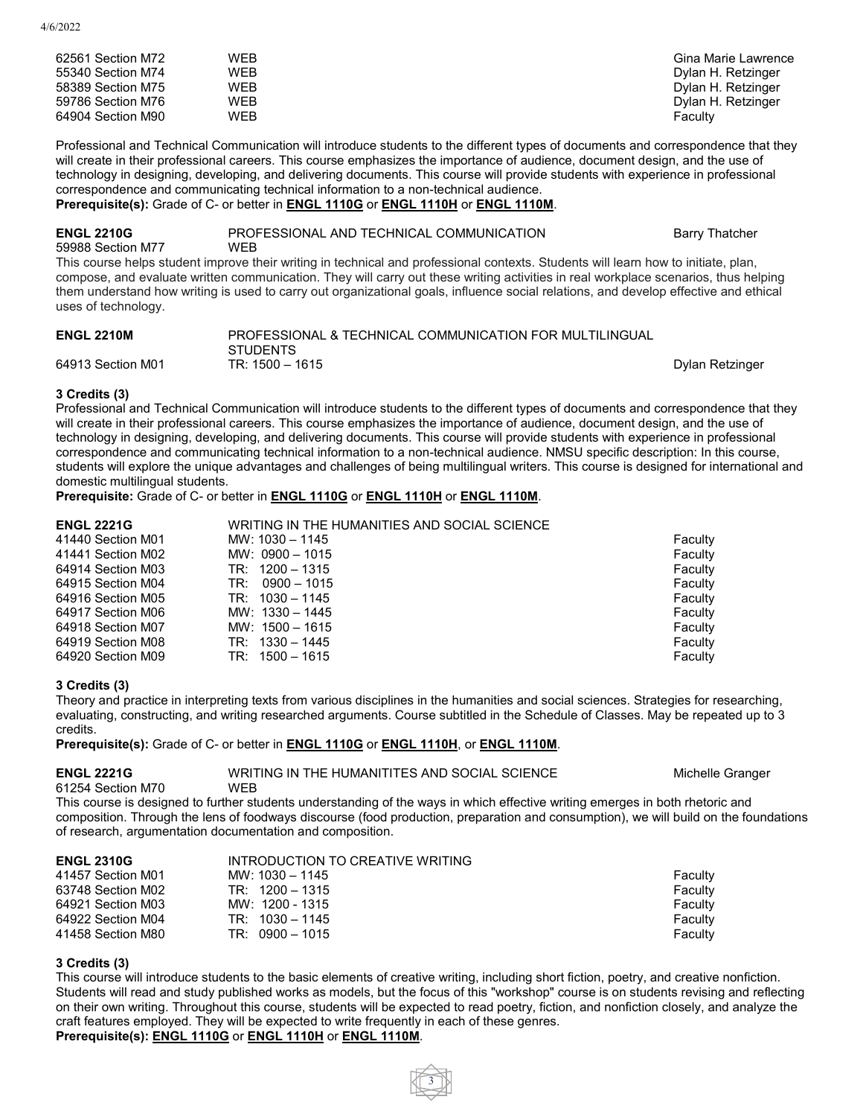| 62561 Section M72 | WEB        | Gina Marie Lawrence |
|-------------------|------------|---------------------|
| 55340 Section M74 | WEB        | Dylan H. Retzinger  |
| 58389 Section M75 | WEB        | Dylan H. Retzinger  |
| 59786 Section M76 | WEB        | Dylan H. Retzinger  |
| 64904 Section M90 | <b>WEB</b> | Facultv             |

Professional and Technical Communication will introduce students to the different types of documents and correspondence that they will create in their professional careers. This course emphasizes the importance of audience, document design, and the use of technology in designing, developing, and delivering documents. This course will provide students with experience in professional correspondence and communicating technical information to a non-technical audience. **Prerequisite(s):** Grade of C- or better in **ENGL [1110G](https://catalogs.nmsu.edu/search/?P=ENGL%201110G)** or **ENGL [1110H](https://catalogs.nmsu.edu/search/?P=ENGL%201110H)** or **ENGL [1110M](https://catalogs.nmsu.edu/search/?P=ENGL%201110M)**.

**ENGL 2210G** PROFESSIONAL AND TECHNICAL COMMUNICATION Barry Thatcher 59988 Section M77 WEB This course helps student improve their writing in technical and professional contexts. Students will learn how to initiate, plan, compose, and evaluate written communication. They will carry out these writing activities in real workplace scenarios, thus helping them understand how writing is used to carry out organizational goals, influence social relations, and develop effective and ethical uses of technology.

| <b>ENGL 2210M</b> | PROFESSIONAL & TECHNICAL COMMUNICATION FOR MULTILINGUAL |                 |
|-------------------|---------------------------------------------------------|-----------------|
|                   | <b>STUDENTS</b>                                         |                 |
| 64913 Section M01 | TR: 1500 – 1615                                         | Dylan Retzinger |

## **3 Credits (3)**

Professional and Technical Communication will introduce students to the different types of documents and correspondence that they will create in their professional careers. This course emphasizes the importance of audience, document design, and the use of technology in designing, developing, and delivering documents. This course will provide students with experience in professional correspondence and communicating technical information to a non-technical audience. NMSU specific description: In this course, students will explore the unique advantages and challenges of being multilingual writers. This course is designed for international and domestic multilingual students.

**Prerequisite:** Grade of C- or better in **ENGL [1110G](https://catalogs.nmsu.edu/search/?P=ENGL%201110G)** or **ENGL [1110H](https://catalogs.nmsu.edu/search/?P=ENGL%201110H)** or **ENGL [1110M](https://catalogs.nmsu.edu/search/?P=ENGL%201110M)**.

## **ENGL 2221G** WRITING IN THE HUMANITIES AND SOCIAL SCIENCE

 Section M01 MW: 1030 – 1145 Faculty Section M02 MW: 0900 – 1015 Faculty 64914 Section M03 **TR: 1200 – 1315** Faculty Section M04 TR: 0900 – 1015 Faculty 64916 Section M05 TR: 1030 – 1145 Faculty Section M06 MW: 1330 – 1445 Faculty Section M07 MW: 1500 – 1615 Faculty 64919 Section M08 TR: 1330 – 1445<br>64920 Section M09 TR: 1500 – 1615 Section M09 TR: 1500 – 1615 Faculty

## **3 Credits (3)**

Theory and practice in interpreting texts from various disciplines in the humanities and social sciences. Strategies for researching, evaluating, constructing, and writing researched arguments. Course subtitled in the Schedule of Classes. May be repeated up to 3 credits.

**Prerequisite(s):** Grade of C- or better in **ENGL [1110G](https://catalogs.nmsu.edu/search/?P=ENGL%201110G)** or **ENGL [1110H](https://catalogs.nmsu.edu/search/?P=ENGL%201110H)**, or **ENGL [1110M](https://catalogs.nmsu.edu/search/?P=ENGL%201110M)**.

**ENGL 2221G** WRITING IN THE HUMANITITES AND SOCIAL SCIENCE Michelle Granger

61254 Section M70 WEB

This course is designed to further students understanding of the ways in which effective writing emerges in both rhetoric and composition. Through the lens of foodways discourse (food production, preparation and consumption), we will build on the foundations of research, argumentation documentation and composition.

| <b>ENGL 2310G</b> | INTRODUCTION TO CREATIVE WRITING |         |
|-------------------|----------------------------------|---------|
| 41457 Section M01 | MW: 1030 - 1145                  | Faculty |
| 63748 Section M02 | $TR: 1200 - 1315$                | Faculty |
| 64921 Section M03 | MW: 1200 - 1315                  | Faculty |
| 64922 Section M04 | $TR: 1030 - 1145$                | Faculty |
| 41458 Section M80 | $TR: 0900 - 1015$                | Faculty |

## **3 Credits (3)**

This course will introduce students to the basic elements of creative writing, including short fiction, poetry, and creative nonfiction. Students will read and study published works as models, but the focus of this "workshop" course is on students revising and reflecting on their own writing. Throughout this course, students will be expected to read poetry, fiction, and nonfiction closely, and analyze the craft features employed. They will be expected to write frequently in each of these genres.

# **Prerequisite(s): ENGL [1110G](https://catalogs.nmsu.edu/search/?P=ENGL%201110G)** or **ENGL [1110H](https://catalogs.nmsu.edu/search/?P=ENGL%201110H)** or **ENGL [1110M](https://catalogs.nmsu.edu/search/?P=ENGL%201110M)**.

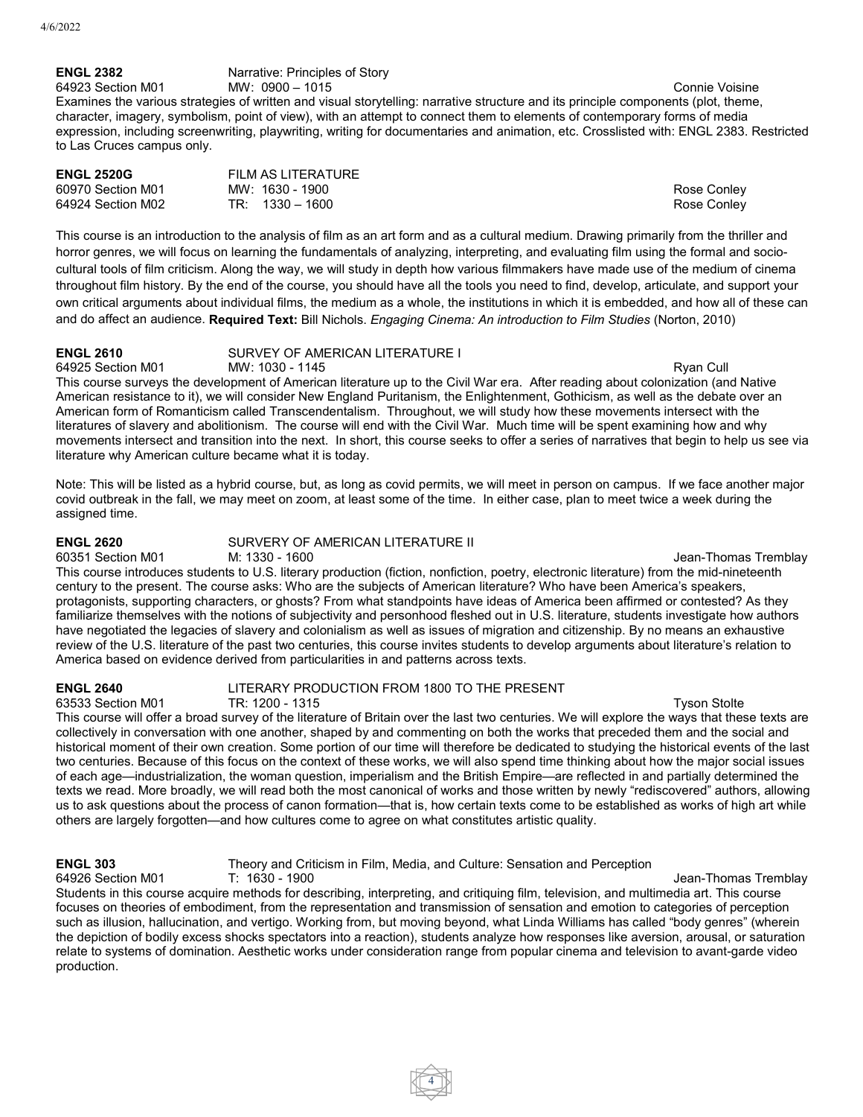# **ENGL 2382** Narrative: Principles of Story

64923 Section M01 MW: 0900 – 1015 Connie Voisine Examines the various strategies of written and visual storytelling: narrative structure and its principle components (plot, theme, character, imagery, symbolism, point of view), with an attempt to connect them to elements of contemporary forms of media expression, including screenwriting, playwriting, writing for documentaries and animation, etc. Crosslisted with: ENGL 2383. Restricted to Las Cruces campus only.

| <b>ENGL 2520G</b> | FILM AS LITERATURE |             |
|-------------------|--------------------|-------------|
| 60970 Section M01 | MW: 1630 - 1900    | Rose Conley |
| 64924 Section M02 | $TR: 1330 - 1600$  | Rose Conley |

This course is an introduction to the analysis of film as an art form and as a cultural medium. Drawing primarily from the thriller and horror genres, we will focus on learning the fundamentals of analyzing, interpreting, and evaluating film using the formal and sociocultural tools of film criticism. Along the way, we will study in depth how various filmmakers have made use of the medium of cinema throughout film history. By the end of the course, you should have all the tools you need to find, develop, articulate, and support your own critical arguments about individual films, the medium as a whole, the institutions in which it is embedded, and how all of these can and do affect an audience. **Required Text:** Bill Nichols. *Engaging Cinema: An introduction to Film Studies* (Norton, 2010)

# **ENGL 2610** SURVEY OF AMERICAN LITERATURE I

64925 Section M01 MW: 1030 - 1145 Ryan Cull Review of the Ryan Cull Ryan Cull This course surveys the development of American literature up to the Civil War era. After reading about colonization (and Native American resistance to it), we will consider New England Puritanism, the Enlightenment, Gothicism, as well as the debate over an American form of Romanticism called Transcendentalism. Throughout, we will study how these movements intersect with the literatures of slavery and abolitionism. The course will end with the Civil War. Much time will be spent examining how and why movements intersect and transition into the next. In short, this course seeks to offer a series of narratives that begin to help us see via literature why American culture became what it is today.

Note: This will be listed as a hybrid course, but, as long as covid permits, we will meet in person on campus. If we face another major covid outbreak in the fall, we may meet on zoom, at least some of the time. In either case, plan to meet twice a week during the assigned time.

# **ENGL 2620** SURVERY OF AMERICAN LITERATURE II

Jean-Thomas Tremblay This course introduces students to U.S. literary production (fiction, nonfiction, poetry, electronic literature) from the mid-nineteenth century to the present. The course asks: Who are the subjects of American literature? Who have been America's speakers, protagonists, supporting characters, or ghosts? From what standpoints have ideas of America been affirmed or contested? As they familiarize themselves with the notions of subjectivity and personhood fleshed out in U.S. literature, students investigate how authors have negotiated the legacies of slavery and colonialism as well as issues of migration and citizenship. By no means an exhaustive review of the U.S. literature of the past two centuries, this course invites students to develop arguments about literature's relation to America based on evidence derived from particularities in and patterns across texts.

# **ENGL 2640** LITERARY PRODUCTION FROM 1800 TO THE PRESENT

63533 Section M01 TR: 1200 - 1315 Tyson Stolte

This course will offer a broad survey of the literature of Britain over the last two centuries. We will explore the ways that these texts are collectively in conversation with one another, shaped by and commenting on both the works that preceded them and the social and historical moment of their own creation. Some portion of our time will therefore be dedicated to studying the historical events of the last two centuries. Because of this focus on the context of these works, we will also spend time thinking about how the major social issues of each age—industrialization, the woman question, imperialism and the British Empire—are reflected in and partially determined the texts we read. More broadly, we will read both the most canonical of works and those written by newly "rediscovered" authors, allowing us to ask questions about the process of canon formation—that is, how certain texts come to be established as works of high art while others are largely forgotten—and how cultures come to agree on what constitutes artistic quality.

# **ENGL 303** Theory and Criticism in Film, Media, and Culture: Sensation and Perception

Jean-Thomas Tremblay Students in this course acquire methods for describing, interpreting, and critiquing film, television, and multimedia art. This course focuses on theories of embodiment, from the representation and transmission of sensation and emotion to categories of perception such as illusion, hallucination, and vertigo. Working from, but moving beyond, what Linda Williams has called "body genres" (wherein the depiction of bodily excess shocks spectators into a reaction), students analyze how responses like aversion, arousal, or saturation relate to systems of domination. Aesthetic works under consideration range from popular cinema and television to avant-garde video production.

4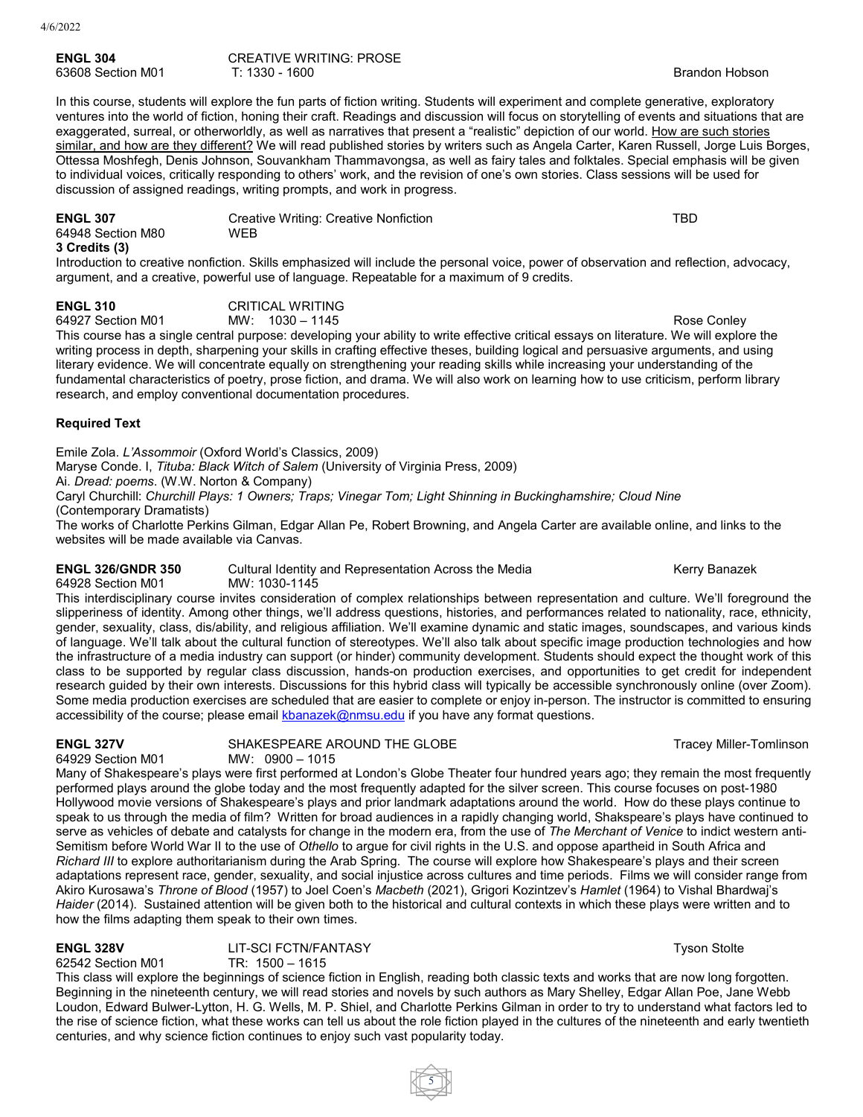| <b>ENGL 304</b>   | <b>CREATIVE WRITING: PROSE</b> |                       |
|-------------------|--------------------------------|-----------------------|
| 63608 Section M01 | T: 1330 - 1600                 | <b>Brandon Hobson</b> |

In this course, students will explore the fun parts of fiction writing. Students will experiment and complete generative, exploratory ventures into the world of fiction, honing their craft. Readings and discussion will focus on storytelling of events and situations that are exaggerated, surreal, or otherworldly, as well as narratives that present a "realistic" depiction of our world. How are such stories similar, and how are they different? We will read published stories by writers such as Angela Carter, Karen Russell, Jorge Luis Borges, Ottessa Moshfegh, Denis Johnson, Souvankham Thammavongsa, as well as fairy tales and folktales. Special emphasis will be given to individual voices, critically responding to others' work, and the revision of one's own stories. Class sessions will be used for discussion of assigned readings, writing prompts, and work in progress.

| <b>ENGL 307</b>                    | Creative Writing: Creative Nonfiction | TBD |
|------------------------------------|---------------------------------------|-----|
| 64948 Section M80<br>3 Credits (3) | <b>WEB</b>                            |     |

Introduction to creative nonfiction. Skills emphasized will include the personal voice, power of observation and reflection, advocacy, argument, and a creative, powerful use of language. Repeatable for a maximum of 9 credits.

**ENGL 310** CRITICAL WRITING

64927 Section M01 MW: 1030 – 1145 Rose Conley This course has a single central purpose: developing your ability to write effective critical essays on literature. We will explore the writing process in depth, sharpening your skills in crafting effective theses, building logical and persuasive arguments, and using literary evidence. We will concentrate equally on strengthening your reading skills while increasing your understanding of the fundamental characteristics of poetry, prose fiction, and drama. We will also work on learning how to use criticism, perform library research, and employ conventional documentation procedures.

# **Required Text**

Emile Zola. *L'Assommoir* (Oxford World's Classics, 2009)

Maryse Conde. I, *Tituba: Black Witch of Salem* (University of Virginia Press, 2009)

Ai. *Dread: poems*. (W.W. Norton & Company)

Caryl Churchill: *Churchill Plays: 1 Owners; Traps; Vinegar Tom; Light Shinning in Buckinghamshire; Cloud Nine* (Contemporary Dramatists)

The works of Charlotte Perkins Gilman, Edgar Allan Pe, Robert Browning, and Angela Carter are available online, and links to the websites will be made available via Canvas.

**ENGL 326/GNDR 350** Cultural Identity and Representation Across the Media Kerry Banazek<br>64928 Section M01 MW: 1030-1145

64928 Section M01 This interdisciplinary course invites consideration of complex relationships between representation and culture. We'll foreground the slipperiness of identity. Among other things, we'll address questions, histories, and performances related to nationality, race, ethnicity, gender, sexuality, class, dis/ability, and religious affiliation. We'll examine dynamic and static images, soundscapes, and various kinds of language. We'll talk about the cultural function of stereotypes. We'll also talk about specific image production technologies and how the infrastructure of a media industry can support (or hinder) community development. Students should expect the thought work of this class to be supported by regular class discussion, hands-on production exercises, and opportunities to get credit for independent research guided by their own interests. Discussions for this hybrid class will typically be accessible synchronously online (over Zoom). Some media production exercises are scheduled that are easier to complete or enjoy in-person. The instructor is committed to ensuring accessibility of the course; please email [kbanazek@nmsu.edu](mailto:kbanazek@nmsu.edu) if you have any format questions.

**ENGL 327V** SHAKESPEARE AROUND THE GLOBE SHAKESPEARE AROUND THE GLOBE 64929 Section M01 MW: 0900 – 1015

Many of Shakespeare's plays were first performed at London's Globe Theater four hundred years ago; they remain the most frequently performed plays around the globe today and the most frequently adapted for the silver screen. This course focuses on post-1980 Hollywood movie versions of Shakespeare's plays and prior landmark adaptations around the world. How do these plays continue to speak to us through the media of film? Written for broad audiences in a rapidly changing world, Shakspeare's plays have continued to serve as vehicles of debate and catalysts for change in the modern era, from the use of *The Merchant of Venice* to indict western anti-Semitism before World War II to the use of *Othello* to argue for civil rights in the U.S. and oppose apartheid in South Africa and *Richard III* to explore authoritarianism during the Arab Spring. The course will explore how Shakespeare's plays and their screen adaptations represent race, gender, sexuality, and social injustice across cultures and time periods. Films we will consider range from Akiro Kurosawa's *Throne of Blood* (1957) to Joel Coen's *Macbeth* (2021), Grigori Kozintzev's *Hamlet* (1964) to Vishal Bhardwaj's *Haider* (2014). Sustained attention will be given both to the historical and cultural contexts in which these plays were written and to how the films adapting them speak to their own times.

**ENGL 328V** LIT-SCI FCTN/FANTASY **The CONSTANT STATE SETS** Tyson Stolte 62542 Section M01 TR: 1500 – 1615

62542 Section M01 This class will explore the beginnings of science fiction in English, reading both classic texts and works that are now long forgotten. Beginning in the nineteenth century, we will read stories and novels by such authors as Mary Shelley, Edgar Allan Poe, Jane Webb Loudon, Edward Bulwer-Lytton, H. G. Wells, M. P. Shiel, and Charlotte Perkins Gilman in order to try to understand what factors led to the rise of science fiction, what these works can tell us about the role fiction played in the cultures of the nineteenth and early twentieth centuries, and why science fiction continues to enjoy such vast popularity today.

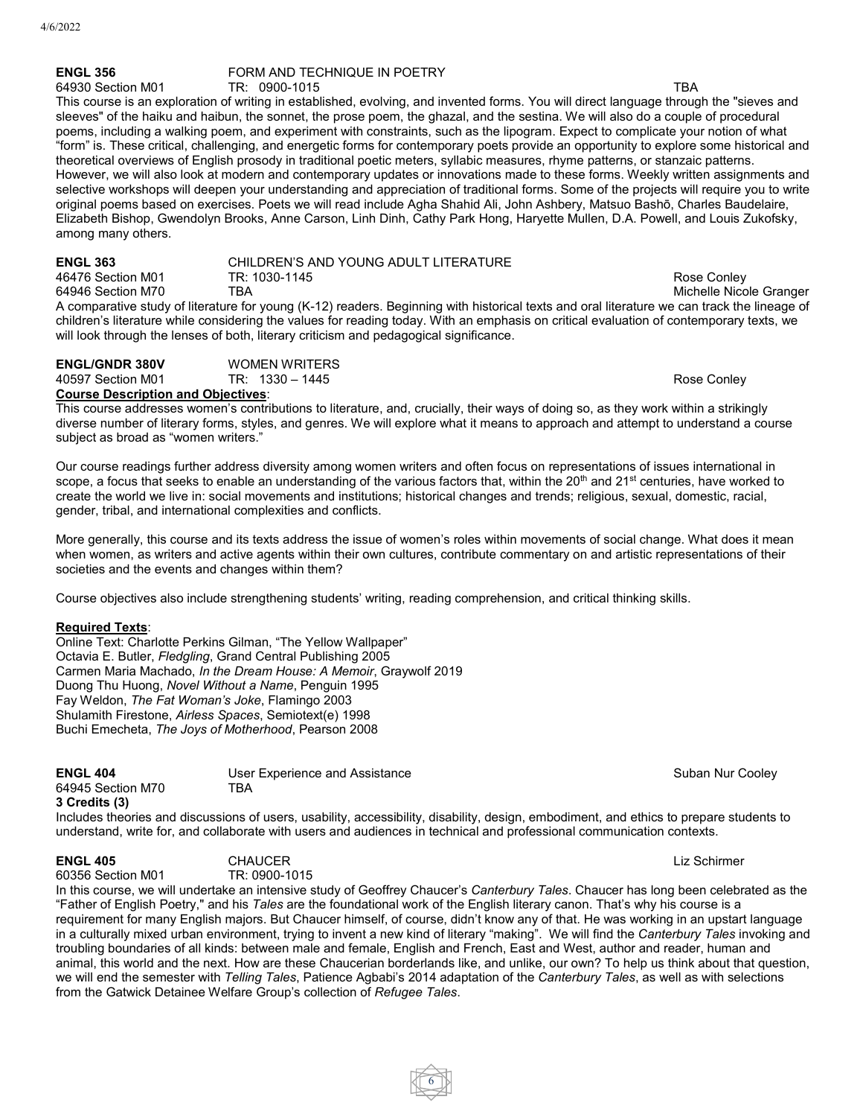### **ENGL 356** FORM AND TECHNIQUE IN POETRY<br>64930 Section M01 **TR:** 0900-1015 64930 Section M01 TR: 0900-1015 TBA

This course is an exploration of writing in established, evolving, and invented forms. You will direct language through the "sieves and sleeves" of the haiku and haibun, the sonnet, the prose poem, the ghazal, and the sestina. We will also do a couple of procedural poems, including a walking poem, and experiment with constraints, such as the lipogram. Expect to complicate your notion of what "form" is. These critical, challenging, and energetic forms for contemporary poets provide an opportunity to explore some historical and theoretical overviews of English prosody in traditional poetic meters, syllabic measures, rhyme patterns, or stanzaic patterns. However, we will also look at modern and contemporary updates or innovations made to these forms. Weekly written assignments and selective workshops will deepen your understanding and appreciation of traditional forms. Some of the projects will require you to write original poems based on exercises. Poets we will read include Agha Shahid Ali, John Ashbery, Matsuo Bashō, Charles Baudelaire, Elizabeth Bishop, Gwendolyn Brooks, Anne Carson, Linh Dinh, Cathy Park Hong, Haryette Mullen, D.A. Powell, and Louis Zukofsky, among many others.

| <b>ENGL 363</b>   | CHILDREN'S AND YOUNG ADULT LITERATURE |                                                                                                                                  |               |
|-------------------|---------------------------------------|----------------------------------------------------------------------------------------------------------------------------------|---------------|
| 46476 Section M01 | TR: 1030-1145                         |                                                                                                                                  | Rose Conley   |
| 64946 Section M70 | TBA                                   |                                                                                                                                  | Michelle Nico |
|                   |                                       | A comparative study of literature for young (K-12) readers. Beginning with historical texts and oral literature we can track the |               |

A comparative study of literature for young (K-12) readers. Beginning with historical texts and oral literature we can track the lineage of children's literature while considering the values for reading today. With an emphasis on critical evaluation of contemporary texts, we will look through the lenses of both, literary criticism and pedagogical significance.

| <b>ENGL/GNDR 380V</b>                     | <b>WOMEN WRITERS</b> |             |
|-------------------------------------------|----------------------|-------------|
| 40597 Section M01                         | TR: 1330 – 1445      | Rose Conley |
| <b>Course Description and Objectives:</b> |                      |             |

This course addresses women's contributions to literature, and, crucially, their ways of doing so, as they work within a strikingly diverse number of literary forms, styles, and genres. We will explore what it means to approach and attempt to understand a course subject as broad as "women writers."

Our course readings further address diversity among women writers and often focus on representations of issues international in scope, a focus that seeks to enable an understanding of the various factors that, within the 20<sup>th</sup> and 21<sup>st</sup> centuries, have worked to create the world we live in: social movements and institutions; historical changes and trends; religious, sexual, domestic, racial, gender, tribal, and international complexities and conflicts.

More generally, this course and its texts address the issue of women's roles within movements of social change. What does it mean when women, as writers and active agents within their own cultures, contribute commentary on and artistic representations of their societies and the events and changes within them?

Course objectives also include strengthening students' writing, reading comprehension, and critical thinking skills.

## **Required Texts**:

Online Text: Charlotte Perkins Gilman, "The Yellow Wallpaper" Octavia E. Butler, *Fledgling*, Grand Central Publishing 2005 Carmen Maria Machado, *In the Dream House: A Memoir*, Graywolf 2019 Duong Thu Huong, *Novel Without a Name*, Penguin 1995 Fay Weldon, *The Fat Woman's Joke*, Flamingo 2003 Shulamith Firestone, *Airless Spaces*, Semiotext(e) 1998 Buchi Emecheta, *The Joys of Motherhood*, Pearson 2008

| <b>ENGL 404</b>   | User Experience and Assistance |
|-------------------|--------------------------------|
| 64945 Section M70 | TBA                            |
| 3 Credits (3)     |                                |

Includes theories and discussions of users, usability, accessibility, disability, design, embodiment, and ethics to prepare students to understand, write for, and collaborate with users and audiences in technical and professional communication contexts.

**ENGL 405** CHAUCER Liz Schirmer 60356 Section M01 TR: 0900-1015

In this course, we will undertake an intensive study of Geoffrey Chaucer's *Canterbury Tales*. Chaucer has long been celebrated as the "Father of English Poetry," and his *Tales* are the foundational work of the English literary canon. That's why his course is a requirement for many English majors. But Chaucer himself, of course, didn't know any of that. He was working in an upstart language in a culturally mixed urban environment, trying to invent a new kind of literary "making". We will find the *Canterbury Tales* invoking and troubling boundaries of all kinds: between male and female, English and French, East and West, author and reader, human and animal, this world and the next. How are these Chaucerian borderlands like, and unlike, our own? To help us think about that question, we will end the semester with *Telling Tales*, Patience Agbabi's 2014 adaptation of the *Canterbury Tales*, as well as with selections from the Gatwick Detainee Welfare Group's collection of *Refugee Tales*.



**Suban Nur Cooley** 

Michelle Nicole Granger